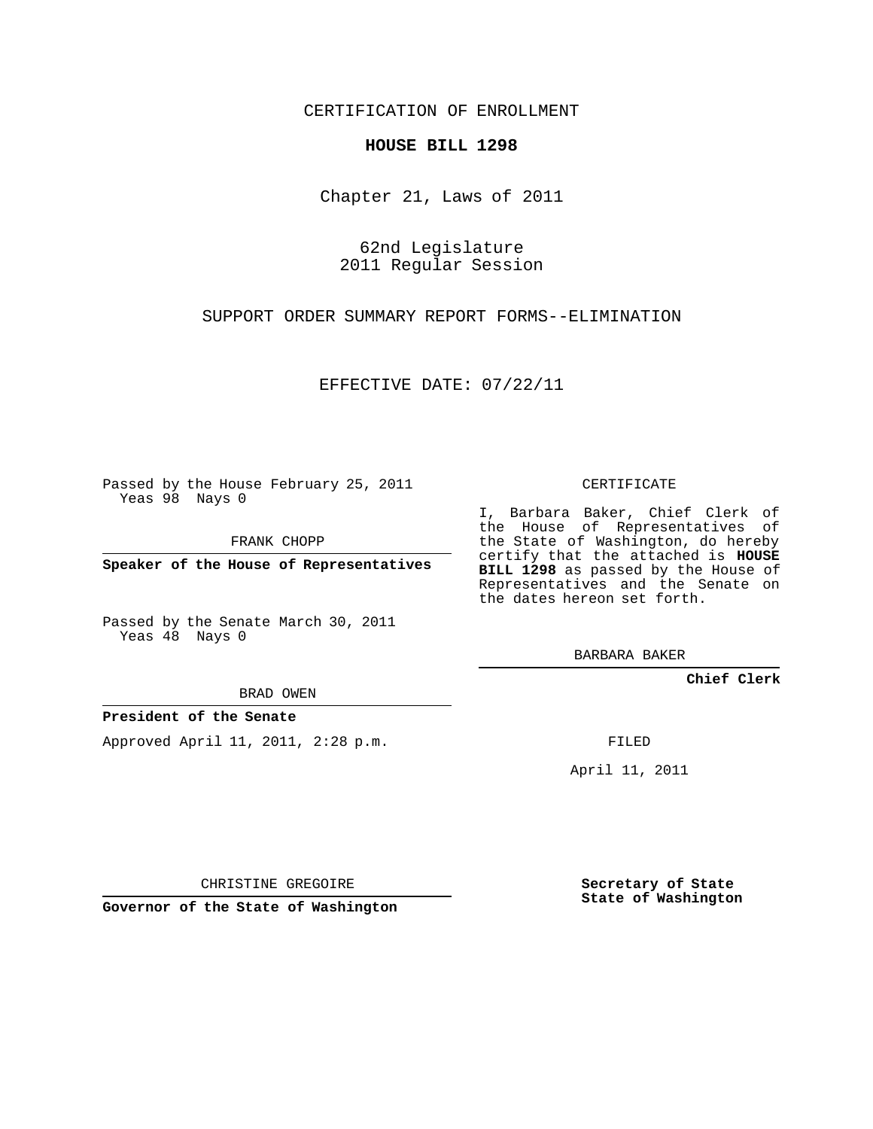CERTIFICATION OF ENROLLMENT

## **HOUSE BILL 1298**

Chapter 21, Laws of 2011

62nd Legislature 2011 Regular Session

SUPPORT ORDER SUMMARY REPORT FORMS--ELIMINATION

EFFECTIVE DATE: 07/22/11

Passed by the House February 25, 2011 Yeas 98 Nays 0

FRANK CHOPP

**Speaker of the House of Representatives**

Passed by the Senate March 30, 2011 Yeas 48 Nays 0

BRAD OWEN

## **President of the Senate**

Approved April 11, 2011, 2:28 p.m.

CERTIFICATE

I, Barbara Baker, Chief Clerk of the House of Representatives of the State of Washington, do hereby certify that the attached is **HOUSE BILL 1298** as passed by the House of Representatives and the Senate on the dates hereon set forth.

BARBARA BAKER

**Chief Clerk**

FILED

April 11, 2011

CHRISTINE GREGOIRE

**Governor of the State of Washington**

**Secretary of State State of Washington**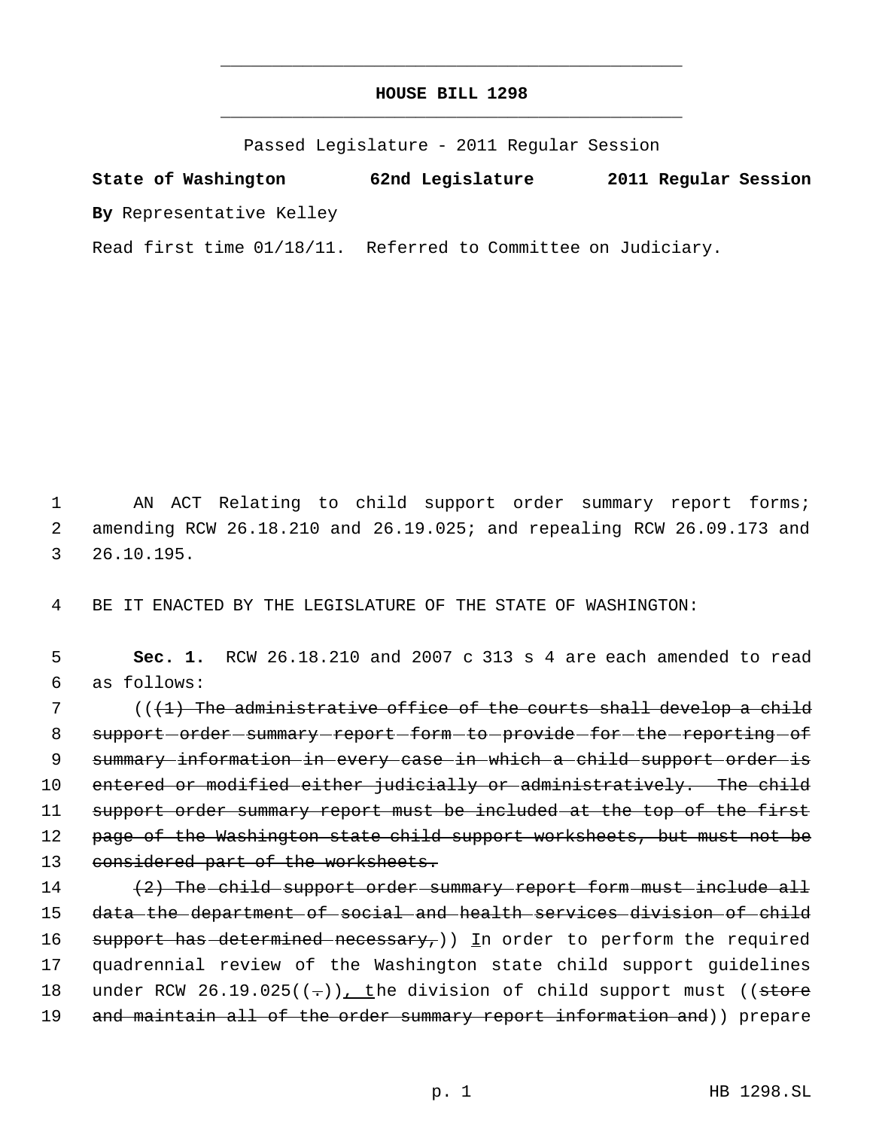## **HOUSE BILL 1298** \_\_\_\_\_\_\_\_\_\_\_\_\_\_\_\_\_\_\_\_\_\_\_\_\_\_\_\_\_\_\_\_\_\_\_\_\_\_\_\_\_\_\_\_\_

\_\_\_\_\_\_\_\_\_\_\_\_\_\_\_\_\_\_\_\_\_\_\_\_\_\_\_\_\_\_\_\_\_\_\_\_\_\_\_\_\_\_\_\_\_

Passed Legislature - 2011 Regular Session

**State of Washington 62nd Legislature 2011 Regular Session By** Representative Kelley

Read first time 01/18/11. Referred to Committee on Judiciary.

1 AN ACT Relating to child support order summary report forms; 2 amending RCW 26.18.210 and 26.19.025; and repealing RCW 26.09.173 and 3 26.10.195.

4 BE IT ENACTED BY THE LEGISLATURE OF THE STATE OF WASHINGTON:

 5 **Sec. 1.** RCW 26.18.210 and 2007 c 313 s 4 are each amended to read 6 as follows:

7 (((1) The administrative office of the courts shall develop a child 8 support-order-summary-report-form-to-provide-for-the-reporting-of 9 summary information in every case in which a child support order is 10 entered or modified either judicially or administratively. The child 11 support order summary report must be included at the top of the first 12 page of the Washington state child support worksheets, but must not be 13 considered part of the worksheets.

14 (2) The child support order summary report form must include all 15 data the department of social and health services division of child 16 support has determined necessary,  $)$  In order to perform the required 17 quadrennial review of the Washington state child support guidelines 18 under RCW  $26.19.025((-))$ , the division of child support must ((store 19 and maintain all of the order summary report information and)) prepare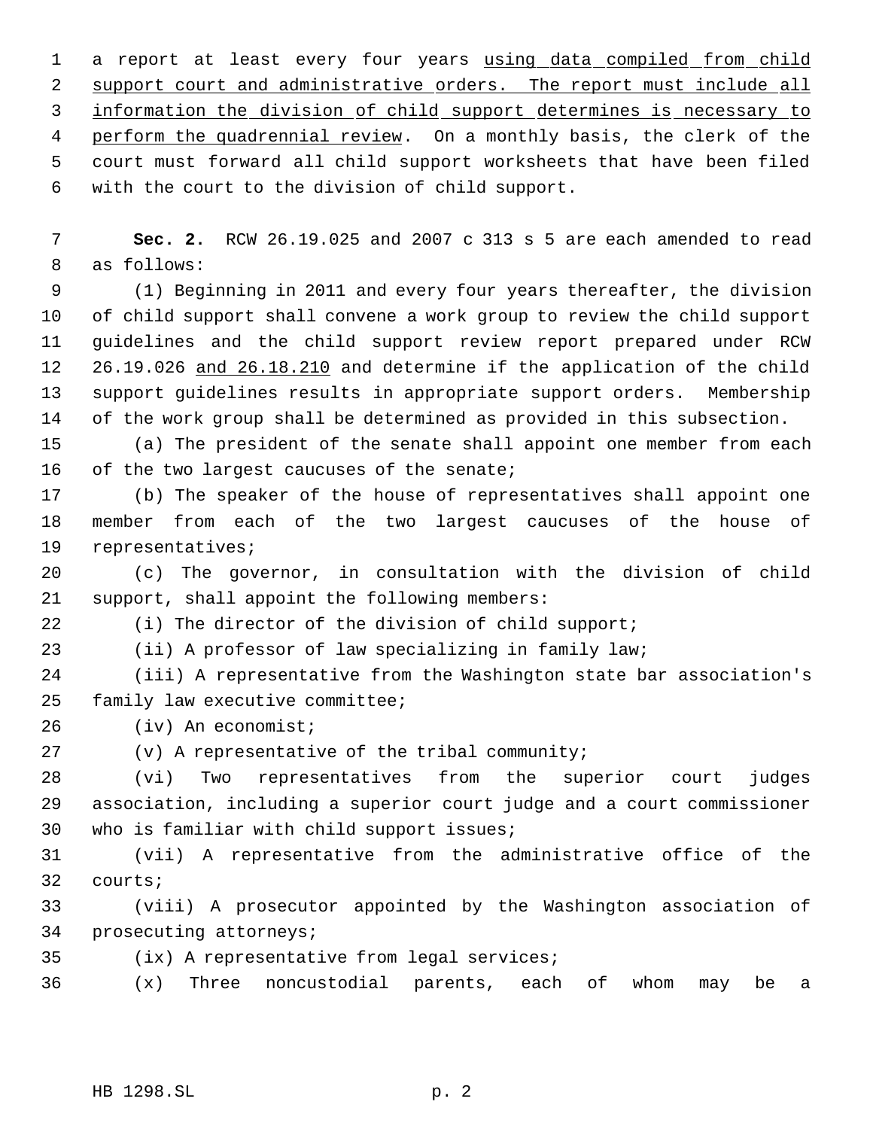1 a report at least every four years using data compiled from child 2 support court and administrative orders. The report must include all information the division of child support determines is necessary to 4 perform the quadrennial review. On a monthly basis, the clerk of the court must forward all child support worksheets that have been filed with the court to the division of child support.

 **Sec. 2.** RCW 26.19.025 and 2007 c 313 s 5 are each amended to read as follows:

 (1) Beginning in 2011 and every four years thereafter, the division of child support shall convene a work group to review the child support guidelines and the child support review report prepared under RCW 12 26.19.026 and 26.18.210 and determine if the application of the child support guidelines results in appropriate support orders. Membership of the work group shall be determined as provided in this subsection.

 (a) The president of the senate shall appoint one member from each 16 of the two largest caucuses of the senate;

 (b) The speaker of the house of representatives shall appoint one member from each of the two largest caucuses of the house of representatives;

 (c) The governor, in consultation with the division of child support, shall appoint the following members:

(i) The director of the division of child support;

(ii) A professor of law specializing in family law;

 (iii) A representative from the Washington state bar association's family law executive committee;

(iv) An economist;

(v) A representative of the tribal community;

 (vi) Two representatives from the superior court judges association, including a superior court judge and a court commissioner who is familiar with child support issues;

 (vii) A representative from the administrative office of the courts;

 (viii) A prosecutor appointed by the Washington association of prosecuting attorneys;

(ix) A representative from legal services;

(x) Three noncustodial parents, each of whom may be a